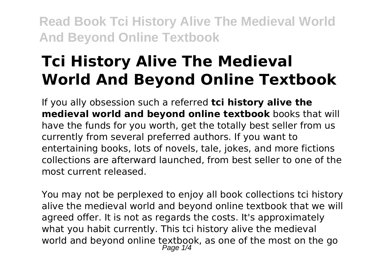# **Tci History Alive The Medieval World And Beyond Online Textbook**

If you ally obsession such a referred **tci history alive the medieval world and beyond online textbook** books that will have the funds for you worth, get the totally best seller from us currently from several preferred authors. If you want to entertaining books, lots of novels, tale, jokes, and more fictions collections are afterward launched, from best seller to one of the most current released.

You may not be perplexed to enjoy all book collections tci history alive the medieval world and beyond online textbook that we will agreed offer. It is not as regards the costs. It's approximately what you habit currently. This tci history alive the medieval world and beyond online textbook, as one of the most on the go Page  $1/4$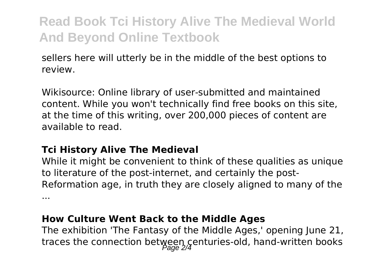sellers here will utterly be in the middle of the best options to review.

Wikisource: Online library of user-submitted and maintained content. While you won't technically find free books on this site, at the time of this writing, over 200,000 pieces of content are available to read.

#### **Tci History Alive The Medieval**

While it might be convenient to think of these qualities as unique to literature of the post-internet, and certainly the post-Reformation age, in truth they are closely aligned to many of the ...

#### **How Culture Went Back to the Middle Ages**

The exhibition 'The Fantasy of the Middle Ages,' opening June 21, traces the connection between centuries-old, hand-written books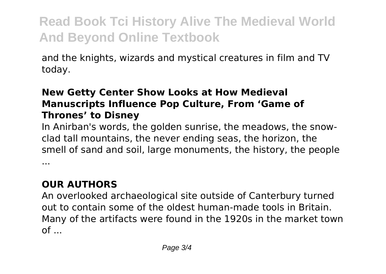and the knights, wizards and mystical creatures in film and TV today.

#### **New Getty Center Show Looks at How Medieval Manuscripts Influence Pop Culture, From 'Game of Thrones' to Disney**

In Anirban's words, the golden sunrise, the meadows, the snowclad tall mountains, the never ending seas, the horizon, the smell of sand and soil, large monuments, the history, the people ...

### **OUR AUTHORS**

An overlooked archaeological site outside of Canterbury turned out to contain some of the oldest human-made tools in Britain. Many of the artifacts were found in the 1920s in the market town  $of \dots$